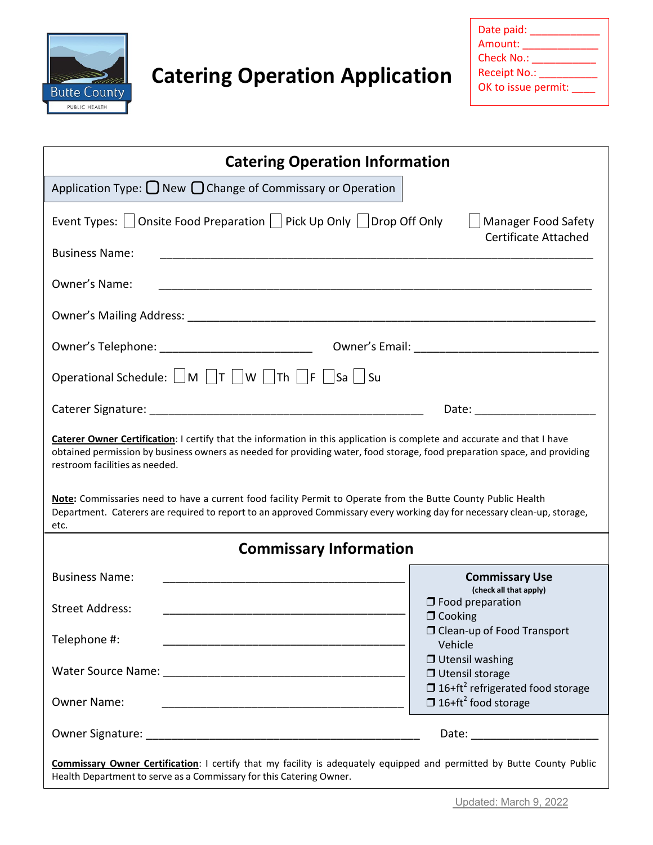

## **Catering Operation Application**

| Date paid:          |
|---------------------|
| Amount:             |
| <b>Check No.:</b>   |
| <b>Receipt No.:</b> |
| OK to issue permit: |

| <b>Catering Operation Information</b>                                                                                                                                                                                                                                                   |                                                                                                                                                                                                                                |  |
|-----------------------------------------------------------------------------------------------------------------------------------------------------------------------------------------------------------------------------------------------------------------------------------------|--------------------------------------------------------------------------------------------------------------------------------------------------------------------------------------------------------------------------------|--|
| Application Type: $\Box$ New $\Box$ Change of Commissary or Operation                                                                                                                                                                                                                   |                                                                                                                                                                                                                                |  |
| Event Types: $\vert$   Onsite Food Preparation $\vert$   Pick Up Only $\vert$   Drop Off Only                                                                                                                                                                                           | <b>Manager Food Safety</b><br><b>Certificate Attached</b>                                                                                                                                                                      |  |
| <b>Business Name:</b>                                                                                                                                                                                                                                                                   |                                                                                                                                                                                                                                |  |
| Owner's Name:                                                                                                                                                                                                                                                                           |                                                                                                                                                                                                                                |  |
|                                                                                                                                                                                                                                                                                         |                                                                                                                                                                                                                                |  |
| Owner's Telephone: _____________________________                                                                                                                                                                                                                                        |                                                                                                                                                                                                                                |  |
| Operational Schedule: $\Box M \Box T \Box W \Box Th \Box F \Box Sa \Box Su$                                                                                                                                                                                                             |                                                                                                                                                                                                                                |  |
|                                                                                                                                                                                                                                                                                         | Date: the contract of the contract of the contract of the contract of the contract of the contract of the contract of the contract of the contract of the contract of the contract of the contract of the contract of the cont |  |
| Caterer Owner Certification: I certify that the information in this application is complete and accurate and that I have<br>obtained permission by business owners as needed for providing water, food storage, food preparation space, and providing<br>restroom facilities as needed. |                                                                                                                                                                                                                                |  |
| Note: Commissaries need to have a current food facility Permit to Operate from the Butte County Public Health<br>Department. Caterers are required to report to an approved Commissary every working day for necessary clean-up, storage,<br>etc.                                       |                                                                                                                                                                                                                                |  |
| <b>Commissary Information</b>                                                                                                                                                                                                                                                           |                                                                                                                                                                                                                                |  |
| <b>Business Name:</b>                                                                                                                                                                                                                                                                   | <b>Commissary Use</b>                                                                                                                                                                                                          |  |
| <b>Street Address:</b>                                                                                                                                                                                                                                                                  | (check all that apply)<br>$\Box$ Food preparation<br>$\Box$ Cooking                                                                                                                                                            |  |
| Telephone #:                                                                                                                                                                                                                                                                            | □ Clean-up of Food Transport<br>Vehicle                                                                                                                                                                                        |  |
|                                                                                                                                                                                                                                                                                         | $\Box$ Utensil washing<br><b>J</b> Utensil storage                                                                                                                                                                             |  |
| <b>Owner Name:</b>                                                                                                                                                                                                                                                                      | $\square$ 16+ft <sup>2</sup> refrigerated food storage<br>$\Box$ 16+ft <sup>2</sup> food storage                                                                                                                               |  |
|                                                                                                                                                                                                                                                                                         |                                                                                                                                                                                                                                |  |
| <b>Commissary Owner Certification</b> : I certify that my facility is adequately equipped and permitted by Butte County Public<br>Health Department to serve as a Commissary for this Catering Owner.                                                                                   |                                                                                                                                                                                                                                |  |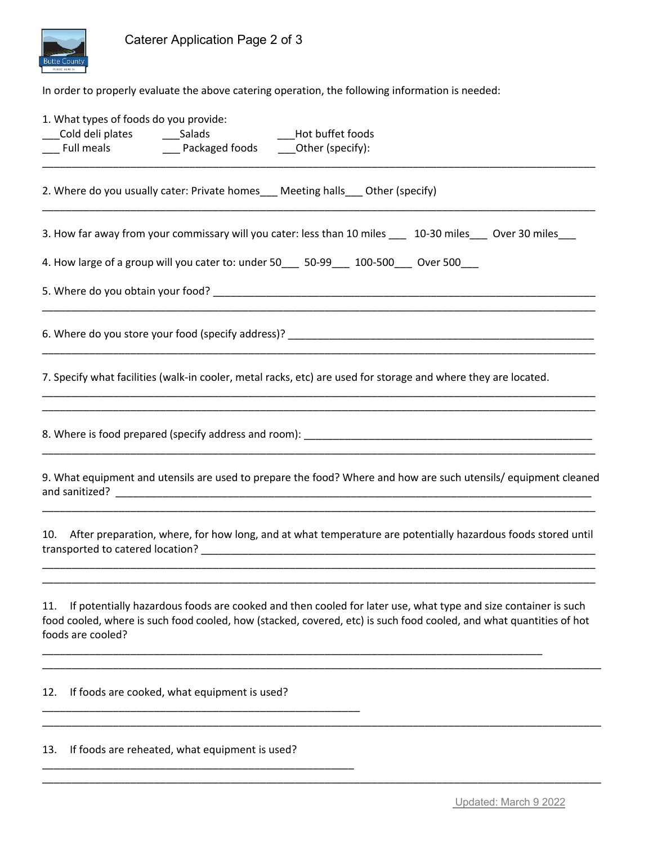

In order to properly evaluate the above catering operation, the following information is needed:

| 1. What types of foods do you provide:                                                                                                                                                                                                                           |
|------------------------------------------------------------------------------------------------------------------------------------------------------------------------------------------------------------------------------------------------------------------|
| ____Hot buffet foods<br>___Cold deli plates ________Salads                                                                                                                                                                                                       |
| Full meals <b>Figure 2</b> Packaged foods <b>Figure 2</b> Other (specify):                                                                                                                                                                                       |
| 2. Where do you usually cater: Private homes Meeting halls Other (specify)                                                                                                                                                                                       |
| 3. How far away from your commissary will you cater: less than 10 miles 10-30 miles 10 Over 30 miles                                                                                                                                                             |
| 4. How large of a group will you cater to: under 50 ___ 50-99 ___ 100-500 ___ Over 500 ___                                                                                                                                                                       |
|                                                                                                                                                                                                                                                                  |
|                                                                                                                                                                                                                                                                  |
| 7. Specify what facilities (walk-in cooler, metal racks, etc) are used for storage and where they are located.                                                                                                                                                   |
|                                                                                                                                                                                                                                                                  |
| 9. What equipment and utensils are used to prepare the food? Where and how are such utensils/equipment cleaned                                                                                                                                                   |
| After preparation, where, for how long, and at what temperature are potentially hazardous foods stored until<br>10.                                                                                                                                              |
| If potentially hazardous foods are cooked and then cooled for later use, what type and size container is such<br>11.<br>food cooled, where is such food cooled, how (stacked, covered, etc) is such food cooled, and what quantities of hot<br>foods are cooled? |
| If foods are cooked, what equipment is used?<br>12.                                                                                                                                                                                                              |

\_\_\_\_\_\_\_\_\_\_\_\_\_\_\_\_\_\_\_\_\_\_\_\_\_\_\_\_\_\_\_\_\_\_\_\_\_\_\_\_\_\_\_\_\_\_\_\_\_\_\_\_\_\_\_\_\_\_\_\_\_\_\_\_\_\_\_\_\_\_\_\_\_\_\_\_\_\_\_\_\_\_\_\_\_\_\_\_\_\_\_\_\_\_\_

13. If foods are reheated, what equipment is used?

\_\_\_\_\_\_\_\_\_\_\_\_\_\_\_\_\_\_\_\_\_\_\_\_\_\_\_\_\_\_\_\_\_\_\_\_\_\_\_\_\_\_\_\_\_\_\_\_\_\_\_\_\_